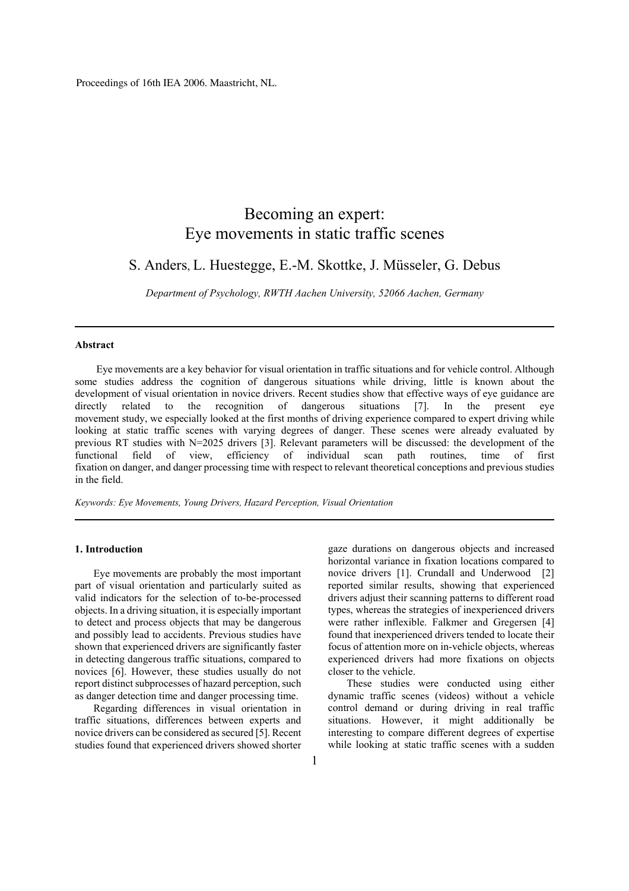Proceedings of 16th IEA 2006. Maastricht, NL.

# Becoming an expert: Eye movements in static traffic scenes

# S. Anders, L. Huestegge, E.-M. Skottke, J. Müsseler, G. Debus

*Department of Psychology, RWTH Aachen University, 52066 Aachen, Germany*

#### **Abstract**

 Eye movements are a key behavior for visual orientation in traffic situations and for vehicle control. Although some studies address the cognition of dangerous situations while driving, little is known about the development of visual orientation in novice drivers. Recent studies show that effective ways of eye guidance are directly related to the recognition of dangerous situations [7]. In the present eye movement study, we especially looked at the first months of driving experience compared to expert driving while looking at static traffic scenes with varying degrees of danger. These scenes were already evaluated by previous RT studies with N=2025 drivers [3]. Relevant parameters will be discussed: the development of the functional field of view, efficiency of individual scan path routines, time of first fixation on danger, and danger processing time with respect to relevant theoretical conceptions and previous studies in the field.

*Keywords: Eye Movements, Young Drivers, Hazard Perception, Visual Orientation* 

## **1. Introduction**

Eye movements are probably the most important part of visual orientation and particularly suited as valid indicators for the selection of to-be-processed objects. In a driving situation, it is especially important to detect and process objects that may be dangerous and possibly lead to accidents. Previous studies have shown that experienced drivers are significantly faster in detecting dangerous traffic situations, compared to novices [6]. However, these studies usually do not report distinct subprocesses of hazard perception, such as danger detection time and danger processing time.

Regarding differences in visual orientation in traffic situations, differences between experts and novice drivers can be considered as secured [5]. Recent studies found that experienced drivers showed shorter gaze durations on dangerous objects and increased horizontal variance in fixation locations compared to novice drivers [1]. Crundall and Underwood [2] reported similar results, showing that experienced drivers adjust their scanning patterns to different road types, whereas the strategies of inexperienced drivers were rather inflexible. Falkmer and Gregersen [4] found that inexperienced drivers tended to locate their focus of attention more on in-vehicle objects, whereas experienced drivers had more fixations on objects closer to the vehicle.

These studies were conducted using either dynamic traffic scenes (videos) without a vehicle control demand or during driving in real traffic situations. However, it might additionally be interesting to compare different degrees of expertise while looking at static traffic scenes with a sudden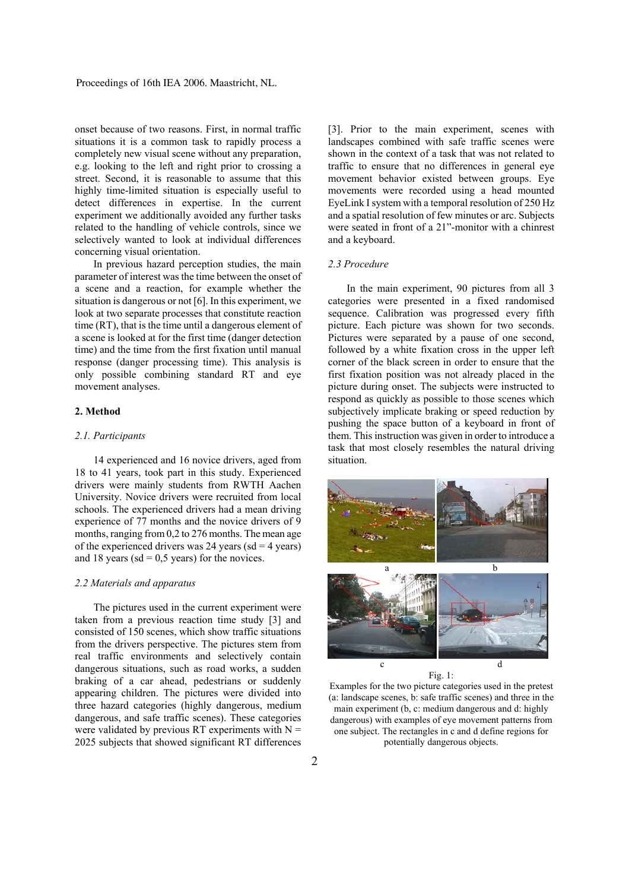onset because of two reasons. First, in normal traffic situations it is a common task to rapidly process a completely new visual scene without any preparation, e.g. looking to the left and right prior to crossing a street. Second, it is reasonable to assume that this highly time-limited situation is especially useful to detect differences in expertise. In the current experiment we additionally avoided any further tasks related to the handling of vehicle controls, since we selectively wanted to look at individual differences concerning visual orientation.

In previous hazard perception studies, the main parameter of interest was the time between the onset of a scene and a reaction, for example whether the situation is dangerous or not [6]. In this experiment, we look at two separate processes that constitute reaction time (RT), that is the time until a dangerous element of a scene is looked at for the first time (danger detection time) and the time from the first fixation until manual response (danger processing time). This analysis is only possible combining standard RT and eye movement analyses.

# **2. Method**

## *2.1. Participants*

14 experienced and 16 novice drivers, aged from 18 to 41 years, took part in this study. Experienced drivers were mainly students from RWTH Aachen University. Novice drivers were recruited from local schools. The experienced drivers had a mean driving experience of 77 months and the novice drivers of 9 months, ranging from 0,2 to 276 months. The mean age of the experienced drivers was 24 years ( $sd = 4$  years) and 18 years ( $sd = 0.5$  years) for the novices.

#### *2.2 Materials and apparatus*

The pictures used in the current experiment were taken from a previous reaction time study [3] and consisted of 150 scenes, which show traffic situations from the drivers perspective. The pictures stem from real traffic environments and selectively contain dangerous situations, such as road works, a sudden braking of a car ahead, pedestrians or suddenly appearing children. The pictures were divided into three hazard categories (highly dangerous, medium dangerous, and safe traffic scenes). These categories were validated by previous RT experiments with  $N =$ 2025 subjects that showed significant RT differences [3]. Prior to the main experiment, scenes with landscapes combined with safe traffic scenes were shown in the context of a task that was not related to traffic to ensure that no differences in general eye movement behavior existed between groups. Eye movements were recorded using a head mounted EyeLink I system with a temporal resolution of 250 Hz and a spatial resolution of few minutes or arc. Subjects were seated in front of a 21"-monitor with a chinrest and a keyboard.

#### *2.3 Procedure*

In the main experiment, 90 pictures from all 3 categories were presented in a fixed randomised sequence. Calibration was progressed every fifth picture. Each picture was shown for two seconds. Pictures were separated by a pause of one second, followed by a white fixation cross in the upper left corner of the black screen in order to ensure that the first fixation position was not already placed in the picture during onset. The subjects were instructed to respond as quickly as possible to those scenes which subjectively implicate braking or speed reduction by pushing the space button of a keyboard in front of them. This instruction was given in order to introduce a task that most closely resembles the natural driving situation.



Fig. 1:

Examples for the two picture categories used in the pretest (a: landscape scenes, b: safe traffic scenes) and three in the main experiment (b, c: medium dangerous and d: highly dangerous) with examples of eye movement patterns from one subject. The rectangles in c and d define regions for potentially dangerous objects.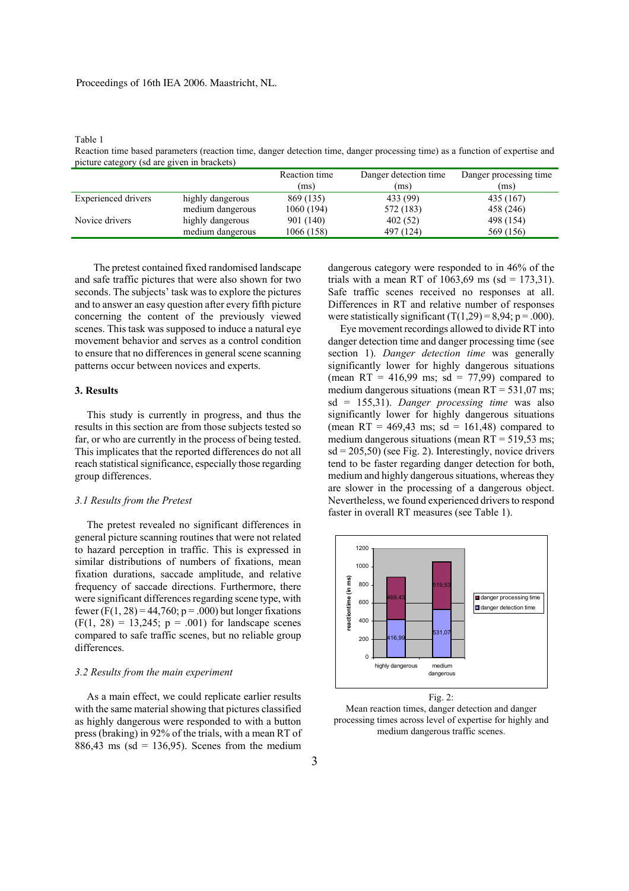#### Proceedings of 16th IEA 2006. Maastricht, NL.

Table 1

Reaction time based parameters (reaction time, danger detection time, danger processing time) as a function of expertise and picture category (sd are given in brackets)

|                            |                  | Reaction time | Danger detection time | Danger processing time |
|----------------------------|------------------|---------------|-----------------------|------------------------|
|                            |                  | (ms)          | (ms)                  | (ms)                   |
| <b>Experienced drivers</b> | highly dangerous | 869 (135)     | 433 (99)              | 435 (167)              |
|                            | medium dangerous | 1060 (194)    | 572 (183)             | 458 (246)              |
| Novice drivers             | highly dangerous | 901 (140)     | 402(52)               | 498 (154)              |
|                            | medium dangerous | 1066 (158)    | 497 (124)             | 569 (156)              |

The pretest contained fixed randomised landscape and safe traffic pictures that were also shown for two seconds. The subjects' task was to explore the pictures and to answer an easy question after every fifth picture concerning the content of the previously viewed scenes. This task was supposed to induce a natural eye movement behavior and serves as a control condition to ensure that no differences in general scene scanning patterns occur between novices and experts.

# **3. Results**

This study is currently in progress, and thus the results in this section are from those subjects tested so far, or who are currently in the process of being tested. This implicates that the reported differences do not all reach statistical significance, especially those regarding group differences.

#### *3.1 Results from the Pretest*

The pretest revealed no significant differences in general picture scanning routines that were not related to hazard perception in traffic. This is expressed in similar distributions of numbers of fixations, mean fixation durations, saccade amplitude, and relative frequency of saccade directions. Furthermore, there were significant differences regarding scene type, with fewer (F(1, 28) = 44,760;  $p = .000$ ) but longer fixations  $(F(1, 28) = 13,245; p = .001)$  for landscape scenes compared to safe traffic scenes, but no reliable group differences.

#### *3.2 Results from the main experiment*

As a main effect, we could replicate earlier results with the same material showing that pictures classified as highly dangerous were responded to with a button press (braking) in 92% of the trials, with a mean RT of  $886,43$  ms (sd = 136,95). Scenes from the medium

dangerous category were responded to in 46% of the trials with a mean RT of  $1063,69$  ms (sd = 173,31). Safe traffic scenes received no responses at all. Differences in RT and relative number of responses were statistically significant  $(T(1,29) = 8.94; p = .000)$ .

Eye movement recordings allowed to divide RT into danger detection time and danger processing time (see section 1). *Danger detection time* was generally significantly lower for highly dangerous situations (mean RT = 416,99 ms; sd = 77,99) compared to medium dangerous situations (mean  $RT = 531,07$  ms; sd = 155,31). *Danger processing time* was also significantly lower for highly dangerous situations (mean RT = 469,43 ms; sd = 161,48) compared to medium dangerous situations (mean  $RT = 519.53$  ms;  $sd = 205,50$  (see Fig. 2). Interestingly, novice drivers tend to be faster regarding danger detection for both, medium and highly dangerous situations, whereas they are slower in the processing of a dangerous object. Nevertheless, we found experienced drivers to respond faster in overall RT measures (see Table 1).



Fig. 2: Mean reaction times, danger detection and danger processing times across level of expertise for highly and medium dangerous traffic scenes.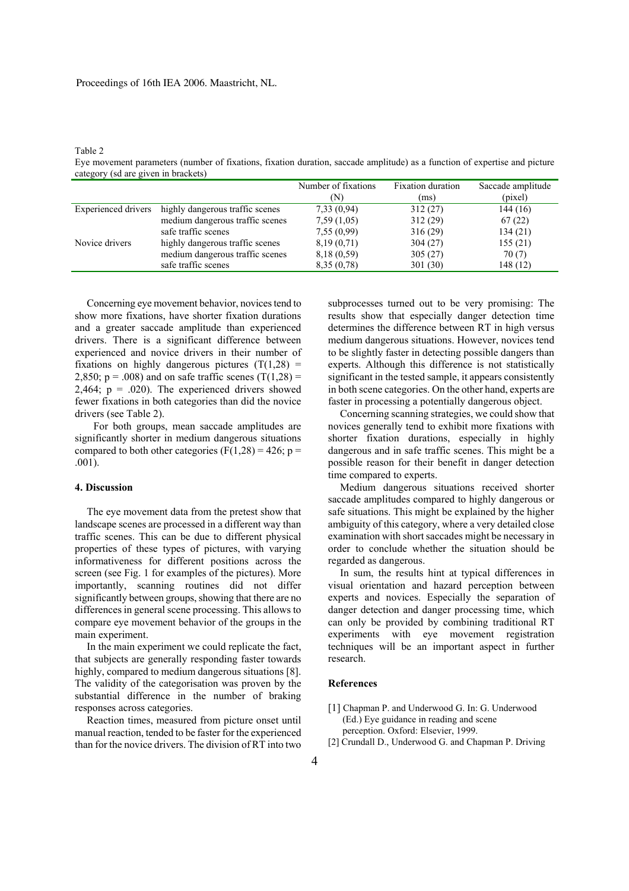Table 2

Eye movement parameters (number of fixations, fixation duration, saccade amplitude) as a function of expertise and picture category (sd are given in brackets)

|                     |                                 | Number of fixations | <b>Fixation duration</b> | Saccade amplitude |
|---------------------|---------------------------------|---------------------|--------------------------|-------------------|
|                     |                                 | (N)                 | (ms)                     | (pixel)           |
| Experienced drivers | highly dangerous traffic scenes | 7,33(0,94)          | 312(27)                  | 144 (16)          |
|                     | medium dangerous traffic scenes | 7,59(1,05)          | 312(29)                  | 67(22)            |
|                     | safe traffic scenes             | 7,55(0,99)          | 316(29)                  | 134(21)           |
| Novice drivers      | highly dangerous traffic scenes | 8,19(0,71)          | 304(27)                  | 155(21)           |
|                     | medium dangerous traffic scenes | 8,18 (0,59)         | 305(27)                  | 70(7)             |
|                     | safe traffic scenes             | 8,35(0,78)          | 301 (30)                 | 148 (12)          |

Concerning eye movement behavior, novices tend to show more fixations, have shorter fixation durations and a greater saccade amplitude than experienced drivers. There is a significant difference between experienced and novice drivers in their number of fixations on highly dangerous pictures  $(T(1,28))$  = 2,850;  $p = .008$ ) and on safe traffic scenes (T(1,28) = 2,464;  $p = .020$ ). The experienced drivers showed fewer fixations in both categories than did the novice drivers (see Table 2).

For both groups, mean saccade amplitudes are significantly shorter in medium dangerous situations compared to both other categories (F(1,28) = 426; p = .001).

#### **4. Discussion**

The eye movement data from the pretest show that landscape scenes are processed in a different way than traffic scenes. This can be due to different physical properties of these types of pictures, with varying informativeness for different positions across the screen (see Fig. 1 for examples of the pictures). More importantly, scanning routines did not differ significantly between groups, showing that there are no differences in general scene processing. This allows to compare eye movement behavior of the groups in the main experiment.

In the main experiment we could replicate the fact, that subjects are generally responding faster towards highly, compared to medium dangerous situations [8]. The validity of the categorisation was proven by the substantial difference in the number of braking responses across categories.

Reaction times, measured from picture onset until manual reaction, tended to be faster for the experienced than for the novice drivers. The division of RT into two

subprocesses turned out to be very promising: The results show that especially danger detection time determines the difference between RT in high versus medium dangerous situations. However, novices tend to be slightly faster in detecting possible dangers than experts. Although this difference is not statistically significant in the tested sample, it appears consistently in both scene categories. On the other hand, experts are faster in processing a potentially dangerous object.

Concerning scanning strategies, we could show that novices generally tend to exhibit more fixations with shorter fixation durations, especially in highly dangerous and in safe traffic scenes. This might be a possible reason for their benefit in danger detection time compared to experts.

Medium dangerous situations received shorter saccade amplitudes compared to highly dangerous or safe situations. This might be explained by the higher ambiguity of this category, where a very detailed close examination with short saccades might be necessary in order to conclude whether the situation should be regarded as dangerous.

In sum, the results hint at typical differences in visual orientation and hazard perception between experts and novices. Especially the separation of danger detection and danger processing time, which can only be provided by combining traditional RT experiments with eye movement registration techniques will be an important aspect in further research.

## **References**

- [1] Chapman P. and Underwood G. In: G. Underwood (Ed.) Eye guidance in reading and scene perception. Oxford: Elsevier, 1999.
- [2] Crundall D., Underwood G. and Chapman P. Driving